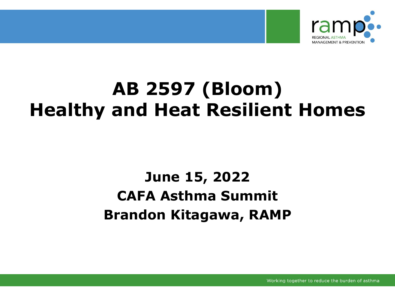

#### **AB 2597 (Bloom) Healthy and Heat Resilient Homes**

#### **June 15, 2022 CAFA Asthma Summit Brandon Kitagawa, RAMP**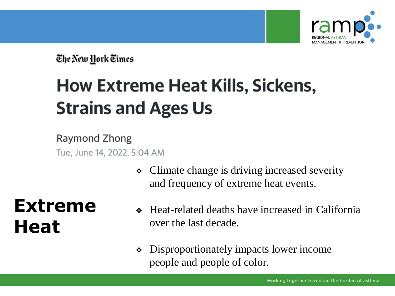

The New York Times

### **How Extreme Heat Kills, Sickens, Strains and Ages Us**

Raymond Zhong Tue, June 14, 2022, 5:04 AM

> ❖ Climate change is driving increased severity and frequency of extreme heat events.

#### **Extreme Heat**

- ❖ Heat-related deaths have increased in California over the last decade.
- ❖ Disproportionately impacts lower income people and people of color.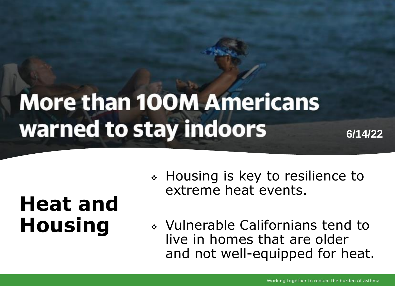# **More than 100M Americans** warned to stay indoors

**6/14/22**

## **Heat and Housing**

- ❖ Housing is key to resilience to extreme heat events.
- ❖ Vulnerable Californians tend to live in homes that are older and not well-equipped for heat.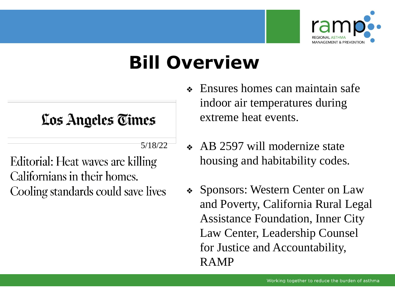

#### **Bill Overview**

#### Los Angeles Times

5/18/22

Editorial: Heat waves are killing Californians in their homes. Cooling standards could save lives

- ❖ Ensures homes can maintain safe indoor air temperatures during extreme heat events.
- ❖ AB 2597 will modernize state housing and habitability codes.
- ❖ Sponsors: Western Center on Law and Poverty, California Rural Legal Assistance Foundation, Inner City Law Center, Leadership Counsel for Justice and Accountability, RAMP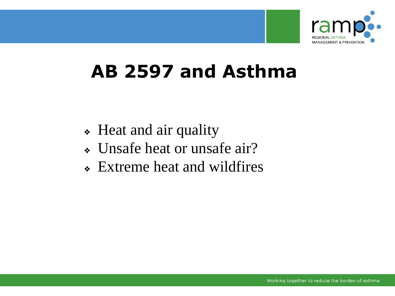

#### **AB 2597 and Asthma**

- ❖ Heat and air quality
- ❖ Unsafe heat or unsafe air?
- ❖ Extreme heat and wildfires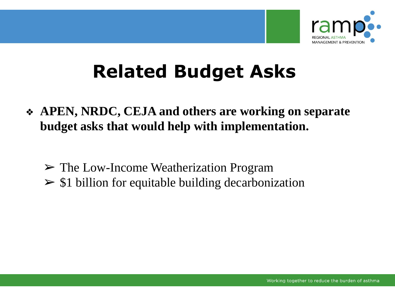

### **Related Budget Asks**

- ❖ **APEN, NRDC, CEJA and others are working on separate budget asks that would help with implementation.**
	- ➢ The Low-Income Weatherization Program
	- $\geq$  \$1 billion for equitable building decarbonization